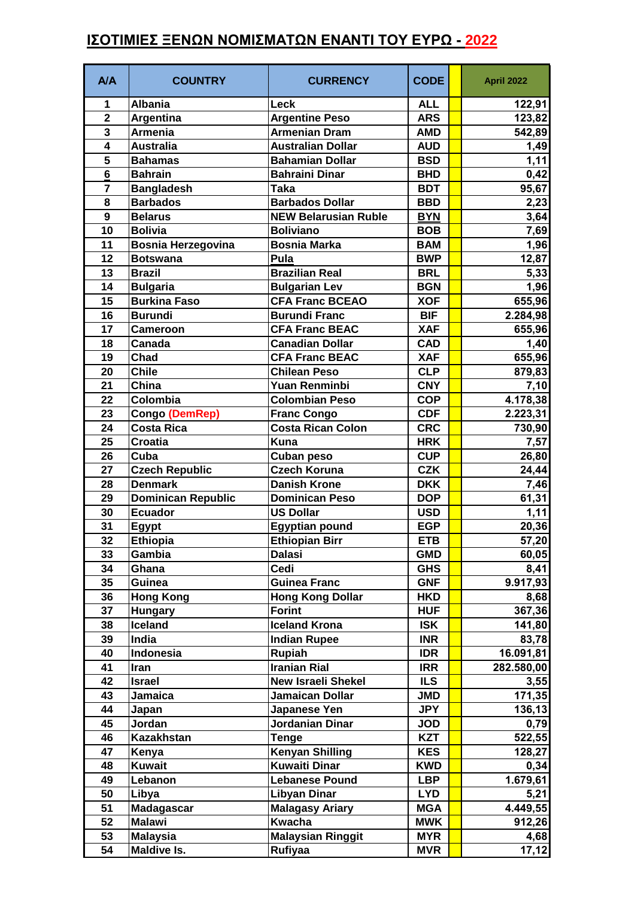## **ΙΣΟΤΙΜΙΕΣ ΞΕΝΩΝ ΝΟΜΙΣΜΑΤΩΝ ΕΝΑΝΤΙ ΤΟΥ ΕΥΡΩ - 2022**

| <b>Albania</b><br>Leck<br><b>ALL</b><br>122,91<br>1<br>$\overline{\mathbf{2}}$<br><b>Argentine Peso</b><br><b>ARS</b><br>123,82<br>Argentina<br>3<br><b>Armenia</b><br><b>Armenian Dram</b><br><b>AMD</b><br>542,89<br>$\overline{\mathbf{4}}$<br><b>Australia</b><br><b>Australian Dollar</b><br><b>AUD</b><br>1,49<br>5<br><b>Bahamian Dollar</b><br><b>Bahamas</b><br><b>BSD</b><br>1,11<br>$6\phantom{1}$<br><b>Bahrain</b><br><b>Bahraini Dinar</b><br><b>BHD</b><br>0,42<br>95,67<br>$\overline{7}$<br><b>Bangladesh</b><br><b>BDT</b><br>Taka<br><b>Barbados</b><br><b>Barbados Dollar</b><br>8<br><b>BBD</b><br>2,23<br>9<br><b>NEW Belarusian Ruble</b><br>3,64<br><b>Belarus</b><br><b>BYN</b><br>10<br><b>Boliviano</b><br><b>Bolivia</b><br><b>BOB</b><br>7,69<br>11<br><b>Bosnia Herzegovina</b><br>1,96<br><b>Bosnia Marka</b><br><b>BAM</b><br>12,87<br>12<br><b>BWP</b><br>Pula<br><b>Botswana</b><br>13<br><b>Brazilian Real</b><br><b>Brazil</b><br><b>BRL</b><br>5,33<br>1,96<br>14<br><b>Bulgaria</b><br><b>Bulgarian Lev</b><br><b>BGN</b><br><b>CFA Franc BCEAO</b><br>15<br><b>Burkina Faso</b><br><b>XOF</b><br>655,96<br>16<br><b>Burundi</b><br><b>Burundi Franc</b><br><b>BIF</b><br>2.284,98<br>17<br><b>CFA Franc BEAC</b><br><b>XAF</b><br>655,96<br><b>Cameroon</b><br>18<br><b>Canadian Dollar</b><br><b>CAD</b><br>1,40<br>Canada<br>19<br>Chad<br><b>CFA Franc BEAC</b><br><b>XAF</b><br>655,96<br><b>Chile</b><br><b>Chilean Peso</b><br>20<br><b>CLP</b><br>879,83<br>21<br>China<br>Yuan Renminbi<br><b>CNY</b><br>7,10<br>Colombia<br><b>Colombian Peso</b><br>22<br><b>COP</b><br>4.178,38<br>23<br><b>CDF</b><br>2.223,31<br>Congo (DemRep)<br><b>Franc Congo</b><br><b>Costa Rica</b><br><b>Costa Rican Colon</b><br>24<br><b>CRC</b><br>730,90<br>25<br><b>Croatia</b><br><b>Kuna</b><br><b>HRK</b><br>7,57<br>26<br>Cuba<br><b>CUP</b><br>26,80<br>Cuban peso<br><b>CZK</b><br>27<br><b>Czech Republic</b><br><b>Czech Koruna</b><br>24,44<br>28<br><b>Danish Krone</b><br><b>DKK</b><br>7,46<br><b>Denmark</b><br>61,31<br><b>Dominican Republic</b><br><b>Dominican Peso</b><br>29<br><b>DOP</b><br>30<br><b>Ecuador</b><br><b>US Dollar</b><br>1,11<br><b>USD</b><br>31<br><b>EGP</b><br><b>Egyptian pound</b><br>20,36<br><b>Egypt</b><br>57,20<br>32<br><b>ETB</b><br><b>Ethiopia</b><br><b>Ethiopian Birr</b><br>33<br>60,05<br><b>GMD</b><br>Gambia<br>Dalasi<br>34<br>Cedi<br><b>GHS</b><br>8,41<br>Ghana<br>Guinea<br>35<br><b>Guinea Franc</b><br>9.917,93<br><b>GNF</b><br>36<br><b>Hong Kong</b><br><b>Hong Kong Dollar</b><br><b>HKD</b><br>8,68<br>37<br><b>Forint</b><br><b>HUF</b><br>367,36<br><b>Hungary</b><br>38<br>Iceland<br><b>Iceland Krona</b><br><b>ISK</b><br>141,80<br><b>Indian Rupee</b><br>39<br>India<br><b>INR</b><br>83,78<br><b>Rupiah</b><br>40<br>Indonesia<br><b>IDR</b><br>16.091,81<br><b>Iranian Rial</b><br>41<br><b>IRR</b><br>282.580,00<br>Iran<br>42<br><b>New Israeli Shekel</b><br><b>ILS</b><br>3,55<br><b>Israel</b><br>43<br>171,35<br>Jamaican Dollar<br><b>JMD</b><br>Jamaica<br>44<br>Japanese Yen<br><b>JPY</b><br>136,13<br>Japan<br>Jordan<br>Jordanian Dinar<br>45<br><b>JOD</b><br>0,79<br>46<br><b>Kazakhstan</b><br><b>KZT</b><br>522,55<br>Tenge<br><b>Kenyan Shilling</b><br>47<br><b>KES</b><br>Kenya<br>128,27<br><b>Kuwait</b><br><b>Kuwaiti Dinar</b><br>48<br><b>KWD</b><br>0,34<br>49<br>1.679,61<br>Lebanon<br><b>Lebanese Pound</b><br><b>LBP</b><br><b>Libyan Dinar</b><br>50<br>Libya<br><b>LYD</b><br>5,21<br>51<br>Madagascar<br><b>Malagasy Ariary</b><br>4.449,55<br><b>MGA</b><br>52<br><b>Malawi</b><br>Kwacha<br><b>MWK</b><br>912,26<br>53<br><b>Malaysian Ringgit</b><br><b>Malaysia</b><br><b>MYR</b><br>4,68<br>Maldive Is.<br><b>Rufiyaa</b><br>54<br><b>MVR</b> | <b>A/A</b> | <b>COUNTRY</b> | <b>CURRENCY</b> | <b>CODE</b> | <b>April 2022</b> |
|--------------------------------------------------------------------------------------------------------------------------------------------------------------------------------------------------------------------------------------------------------------------------------------------------------------------------------------------------------------------------------------------------------------------------------------------------------------------------------------------------------------------------------------------------------------------------------------------------------------------------------------------------------------------------------------------------------------------------------------------------------------------------------------------------------------------------------------------------------------------------------------------------------------------------------------------------------------------------------------------------------------------------------------------------------------------------------------------------------------------------------------------------------------------------------------------------------------------------------------------------------------------------------------------------------------------------------------------------------------------------------------------------------------------------------------------------------------------------------------------------------------------------------------------------------------------------------------------------------------------------------------------------------------------------------------------------------------------------------------------------------------------------------------------------------------------------------------------------------------------------------------------------------------------------------------------------------------------------------------------------------------------------------------------------------------------------------------------------------------------------------------------------------------------------------------------------------------------------------------------------------------------------------------------------------------------------------------------------------------------------------------------------------------------------------------------------------------------------------------------------------------------------------------------------------------------------------------------------------------------------------------------------------------------------------------------------------------------------------------------------------------------------------------------------------------------------------------------------------------------------------------------------------------------------------------------------------------------------------------------------------------------------------------------------------------------------------------------------------------------------------------------------------------------------------------------------------------------------------------------------------------------------------------------------------------------------------------------------------------------------------------------------------------------------------------------------------------------------------------------------------------------------------------------------------------------------------------------------------------------------------------------------------------------------------------------------------------------------------------------------------------------------------------------------|------------|----------------|-----------------|-------------|-------------------|
|                                                                                                                                                                                                                                                                                                                                                                                                                                                                                                                                                                                                                                                                                                                                                                                                                                                                                                                                                                                                                                                                                                                                                                                                                                                                                                                                                                                                                                                                                                                                                                                                                                                                                                                                                                                                                                                                                                                                                                                                                                                                                                                                                                                                                                                                                                                                                                                                                                                                                                                                                                                                                                                                                                                                                                                                                                                                                                                                                                                                                                                                                                                                                                                                                                                                                                                                                                                                                                                                                                                                                                                                                                                                                                                                                                                                  |            |                |                 |             |                   |
|                                                                                                                                                                                                                                                                                                                                                                                                                                                                                                                                                                                                                                                                                                                                                                                                                                                                                                                                                                                                                                                                                                                                                                                                                                                                                                                                                                                                                                                                                                                                                                                                                                                                                                                                                                                                                                                                                                                                                                                                                                                                                                                                                                                                                                                                                                                                                                                                                                                                                                                                                                                                                                                                                                                                                                                                                                                                                                                                                                                                                                                                                                                                                                                                                                                                                                                                                                                                                                                                                                                                                                                                                                                                                                                                                                                                  |            |                |                 |             |                   |
| 17,12                                                                                                                                                                                                                                                                                                                                                                                                                                                                                                                                                                                                                                                                                                                                                                                                                                                                                                                                                                                                                                                                                                                                                                                                                                                                                                                                                                                                                                                                                                                                                                                                                                                                                                                                                                                                                                                                                                                                                                                                                                                                                                                                                                                                                                                                                                                                                                                                                                                                                                                                                                                                                                                                                                                                                                                                                                                                                                                                                                                                                                                                                                                                                                                                                                                                                                                                                                                                                                                                                                                                                                                                                                                                                                                                                                                            |            |                |                 |             |                   |
|                                                                                                                                                                                                                                                                                                                                                                                                                                                                                                                                                                                                                                                                                                                                                                                                                                                                                                                                                                                                                                                                                                                                                                                                                                                                                                                                                                                                                                                                                                                                                                                                                                                                                                                                                                                                                                                                                                                                                                                                                                                                                                                                                                                                                                                                                                                                                                                                                                                                                                                                                                                                                                                                                                                                                                                                                                                                                                                                                                                                                                                                                                                                                                                                                                                                                                                                                                                                                                                                                                                                                                                                                                                                                                                                                                                                  |            |                |                 |             |                   |
|                                                                                                                                                                                                                                                                                                                                                                                                                                                                                                                                                                                                                                                                                                                                                                                                                                                                                                                                                                                                                                                                                                                                                                                                                                                                                                                                                                                                                                                                                                                                                                                                                                                                                                                                                                                                                                                                                                                                                                                                                                                                                                                                                                                                                                                                                                                                                                                                                                                                                                                                                                                                                                                                                                                                                                                                                                                                                                                                                                                                                                                                                                                                                                                                                                                                                                                                                                                                                                                                                                                                                                                                                                                                                                                                                                                                  |            |                |                 |             |                   |
|                                                                                                                                                                                                                                                                                                                                                                                                                                                                                                                                                                                                                                                                                                                                                                                                                                                                                                                                                                                                                                                                                                                                                                                                                                                                                                                                                                                                                                                                                                                                                                                                                                                                                                                                                                                                                                                                                                                                                                                                                                                                                                                                                                                                                                                                                                                                                                                                                                                                                                                                                                                                                                                                                                                                                                                                                                                                                                                                                                                                                                                                                                                                                                                                                                                                                                                                                                                                                                                                                                                                                                                                                                                                                                                                                                                                  |            |                |                 |             |                   |
|                                                                                                                                                                                                                                                                                                                                                                                                                                                                                                                                                                                                                                                                                                                                                                                                                                                                                                                                                                                                                                                                                                                                                                                                                                                                                                                                                                                                                                                                                                                                                                                                                                                                                                                                                                                                                                                                                                                                                                                                                                                                                                                                                                                                                                                                                                                                                                                                                                                                                                                                                                                                                                                                                                                                                                                                                                                                                                                                                                                                                                                                                                                                                                                                                                                                                                                                                                                                                                                                                                                                                                                                                                                                                                                                                                                                  |            |                |                 |             |                   |
|                                                                                                                                                                                                                                                                                                                                                                                                                                                                                                                                                                                                                                                                                                                                                                                                                                                                                                                                                                                                                                                                                                                                                                                                                                                                                                                                                                                                                                                                                                                                                                                                                                                                                                                                                                                                                                                                                                                                                                                                                                                                                                                                                                                                                                                                                                                                                                                                                                                                                                                                                                                                                                                                                                                                                                                                                                                                                                                                                                                                                                                                                                                                                                                                                                                                                                                                                                                                                                                                                                                                                                                                                                                                                                                                                                                                  |            |                |                 |             |                   |
|                                                                                                                                                                                                                                                                                                                                                                                                                                                                                                                                                                                                                                                                                                                                                                                                                                                                                                                                                                                                                                                                                                                                                                                                                                                                                                                                                                                                                                                                                                                                                                                                                                                                                                                                                                                                                                                                                                                                                                                                                                                                                                                                                                                                                                                                                                                                                                                                                                                                                                                                                                                                                                                                                                                                                                                                                                                                                                                                                                                                                                                                                                                                                                                                                                                                                                                                                                                                                                                                                                                                                                                                                                                                                                                                                                                                  |            |                |                 |             |                   |
|                                                                                                                                                                                                                                                                                                                                                                                                                                                                                                                                                                                                                                                                                                                                                                                                                                                                                                                                                                                                                                                                                                                                                                                                                                                                                                                                                                                                                                                                                                                                                                                                                                                                                                                                                                                                                                                                                                                                                                                                                                                                                                                                                                                                                                                                                                                                                                                                                                                                                                                                                                                                                                                                                                                                                                                                                                                                                                                                                                                                                                                                                                                                                                                                                                                                                                                                                                                                                                                                                                                                                                                                                                                                                                                                                                                                  |            |                |                 |             |                   |
|                                                                                                                                                                                                                                                                                                                                                                                                                                                                                                                                                                                                                                                                                                                                                                                                                                                                                                                                                                                                                                                                                                                                                                                                                                                                                                                                                                                                                                                                                                                                                                                                                                                                                                                                                                                                                                                                                                                                                                                                                                                                                                                                                                                                                                                                                                                                                                                                                                                                                                                                                                                                                                                                                                                                                                                                                                                                                                                                                                                                                                                                                                                                                                                                                                                                                                                                                                                                                                                                                                                                                                                                                                                                                                                                                                                                  |            |                |                 |             |                   |
|                                                                                                                                                                                                                                                                                                                                                                                                                                                                                                                                                                                                                                                                                                                                                                                                                                                                                                                                                                                                                                                                                                                                                                                                                                                                                                                                                                                                                                                                                                                                                                                                                                                                                                                                                                                                                                                                                                                                                                                                                                                                                                                                                                                                                                                                                                                                                                                                                                                                                                                                                                                                                                                                                                                                                                                                                                                                                                                                                                                                                                                                                                                                                                                                                                                                                                                                                                                                                                                                                                                                                                                                                                                                                                                                                                                                  |            |                |                 |             |                   |
|                                                                                                                                                                                                                                                                                                                                                                                                                                                                                                                                                                                                                                                                                                                                                                                                                                                                                                                                                                                                                                                                                                                                                                                                                                                                                                                                                                                                                                                                                                                                                                                                                                                                                                                                                                                                                                                                                                                                                                                                                                                                                                                                                                                                                                                                                                                                                                                                                                                                                                                                                                                                                                                                                                                                                                                                                                                                                                                                                                                                                                                                                                                                                                                                                                                                                                                                                                                                                                                                                                                                                                                                                                                                                                                                                                                                  |            |                |                 |             |                   |
|                                                                                                                                                                                                                                                                                                                                                                                                                                                                                                                                                                                                                                                                                                                                                                                                                                                                                                                                                                                                                                                                                                                                                                                                                                                                                                                                                                                                                                                                                                                                                                                                                                                                                                                                                                                                                                                                                                                                                                                                                                                                                                                                                                                                                                                                                                                                                                                                                                                                                                                                                                                                                                                                                                                                                                                                                                                                                                                                                                                                                                                                                                                                                                                                                                                                                                                                                                                                                                                                                                                                                                                                                                                                                                                                                                                                  |            |                |                 |             |                   |
|                                                                                                                                                                                                                                                                                                                                                                                                                                                                                                                                                                                                                                                                                                                                                                                                                                                                                                                                                                                                                                                                                                                                                                                                                                                                                                                                                                                                                                                                                                                                                                                                                                                                                                                                                                                                                                                                                                                                                                                                                                                                                                                                                                                                                                                                                                                                                                                                                                                                                                                                                                                                                                                                                                                                                                                                                                                                                                                                                                                                                                                                                                                                                                                                                                                                                                                                                                                                                                                                                                                                                                                                                                                                                                                                                                                                  |            |                |                 |             |                   |
|                                                                                                                                                                                                                                                                                                                                                                                                                                                                                                                                                                                                                                                                                                                                                                                                                                                                                                                                                                                                                                                                                                                                                                                                                                                                                                                                                                                                                                                                                                                                                                                                                                                                                                                                                                                                                                                                                                                                                                                                                                                                                                                                                                                                                                                                                                                                                                                                                                                                                                                                                                                                                                                                                                                                                                                                                                                                                                                                                                                                                                                                                                                                                                                                                                                                                                                                                                                                                                                                                                                                                                                                                                                                                                                                                                                                  |            |                |                 |             |                   |
|                                                                                                                                                                                                                                                                                                                                                                                                                                                                                                                                                                                                                                                                                                                                                                                                                                                                                                                                                                                                                                                                                                                                                                                                                                                                                                                                                                                                                                                                                                                                                                                                                                                                                                                                                                                                                                                                                                                                                                                                                                                                                                                                                                                                                                                                                                                                                                                                                                                                                                                                                                                                                                                                                                                                                                                                                                                                                                                                                                                                                                                                                                                                                                                                                                                                                                                                                                                                                                                                                                                                                                                                                                                                                                                                                                                                  |            |                |                 |             |                   |
|                                                                                                                                                                                                                                                                                                                                                                                                                                                                                                                                                                                                                                                                                                                                                                                                                                                                                                                                                                                                                                                                                                                                                                                                                                                                                                                                                                                                                                                                                                                                                                                                                                                                                                                                                                                                                                                                                                                                                                                                                                                                                                                                                                                                                                                                                                                                                                                                                                                                                                                                                                                                                                                                                                                                                                                                                                                                                                                                                                                                                                                                                                                                                                                                                                                                                                                                                                                                                                                                                                                                                                                                                                                                                                                                                                                                  |            |                |                 |             |                   |
|                                                                                                                                                                                                                                                                                                                                                                                                                                                                                                                                                                                                                                                                                                                                                                                                                                                                                                                                                                                                                                                                                                                                                                                                                                                                                                                                                                                                                                                                                                                                                                                                                                                                                                                                                                                                                                                                                                                                                                                                                                                                                                                                                                                                                                                                                                                                                                                                                                                                                                                                                                                                                                                                                                                                                                                                                                                                                                                                                                                                                                                                                                                                                                                                                                                                                                                                                                                                                                                                                                                                                                                                                                                                                                                                                                                                  |            |                |                 |             |                   |
|                                                                                                                                                                                                                                                                                                                                                                                                                                                                                                                                                                                                                                                                                                                                                                                                                                                                                                                                                                                                                                                                                                                                                                                                                                                                                                                                                                                                                                                                                                                                                                                                                                                                                                                                                                                                                                                                                                                                                                                                                                                                                                                                                                                                                                                                                                                                                                                                                                                                                                                                                                                                                                                                                                                                                                                                                                                                                                                                                                                                                                                                                                                                                                                                                                                                                                                                                                                                                                                                                                                                                                                                                                                                                                                                                                                                  |            |                |                 |             |                   |
|                                                                                                                                                                                                                                                                                                                                                                                                                                                                                                                                                                                                                                                                                                                                                                                                                                                                                                                                                                                                                                                                                                                                                                                                                                                                                                                                                                                                                                                                                                                                                                                                                                                                                                                                                                                                                                                                                                                                                                                                                                                                                                                                                                                                                                                                                                                                                                                                                                                                                                                                                                                                                                                                                                                                                                                                                                                                                                                                                                                                                                                                                                                                                                                                                                                                                                                                                                                                                                                                                                                                                                                                                                                                                                                                                                                                  |            |                |                 |             |                   |
|                                                                                                                                                                                                                                                                                                                                                                                                                                                                                                                                                                                                                                                                                                                                                                                                                                                                                                                                                                                                                                                                                                                                                                                                                                                                                                                                                                                                                                                                                                                                                                                                                                                                                                                                                                                                                                                                                                                                                                                                                                                                                                                                                                                                                                                                                                                                                                                                                                                                                                                                                                                                                                                                                                                                                                                                                                                                                                                                                                                                                                                                                                                                                                                                                                                                                                                                                                                                                                                                                                                                                                                                                                                                                                                                                                                                  |            |                |                 |             |                   |
|                                                                                                                                                                                                                                                                                                                                                                                                                                                                                                                                                                                                                                                                                                                                                                                                                                                                                                                                                                                                                                                                                                                                                                                                                                                                                                                                                                                                                                                                                                                                                                                                                                                                                                                                                                                                                                                                                                                                                                                                                                                                                                                                                                                                                                                                                                                                                                                                                                                                                                                                                                                                                                                                                                                                                                                                                                                                                                                                                                                                                                                                                                                                                                                                                                                                                                                                                                                                                                                                                                                                                                                                                                                                                                                                                                                                  |            |                |                 |             |                   |
|                                                                                                                                                                                                                                                                                                                                                                                                                                                                                                                                                                                                                                                                                                                                                                                                                                                                                                                                                                                                                                                                                                                                                                                                                                                                                                                                                                                                                                                                                                                                                                                                                                                                                                                                                                                                                                                                                                                                                                                                                                                                                                                                                                                                                                                                                                                                                                                                                                                                                                                                                                                                                                                                                                                                                                                                                                                                                                                                                                                                                                                                                                                                                                                                                                                                                                                                                                                                                                                                                                                                                                                                                                                                                                                                                                                                  |            |                |                 |             |                   |
|                                                                                                                                                                                                                                                                                                                                                                                                                                                                                                                                                                                                                                                                                                                                                                                                                                                                                                                                                                                                                                                                                                                                                                                                                                                                                                                                                                                                                                                                                                                                                                                                                                                                                                                                                                                                                                                                                                                                                                                                                                                                                                                                                                                                                                                                                                                                                                                                                                                                                                                                                                                                                                                                                                                                                                                                                                                                                                                                                                                                                                                                                                                                                                                                                                                                                                                                                                                                                                                                                                                                                                                                                                                                                                                                                                                                  |            |                |                 |             |                   |
|                                                                                                                                                                                                                                                                                                                                                                                                                                                                                                                                                                                                                                                                                                                                                                                                                                                                                                                                                                                                                                                                                                                                                                                                                                                                                                                                                                                                                                                                                                                                                                                                                                                                                                                                                                                                                                                                                                                                                                                                                                                                                                                                                                                                                                                                                                                                                                                                                                                                                                                                                                                                                                                                                                                                                                                                                                                                                                                                                                                                                                                                                                                                                                                                                                                                                                                                                                                                                                                                                                                                                                                                                                                                                                                                                                                                  |            |                |                 |             |                   |
|                                                                                                                                                                                                                                                                                                                                                                                                                                                                                                                                                                                                                                                                                                                                                                                                                                                                                                                                                                                                                                                                                                                                                                                                                                                                                                                                                                                                                                                                                                                                                                                                                                                                                                                                                                                                                                                                                                                                                                                                                                                                                                                                                                                                                                                                                                                                                                                                                                                                                                                                                                                                                                                                                                                                                                                                                                                                                                                                                                                                                                                                                                                                                                                                                                                                                                                                                                                                                                                                                                                                                                                                                                                                                                                                                                                                  |            |                |                 |             |                   |
|                                                                                                                                                                                                                                                                                                                                                                                                                                                                                                                                                                                                                                                                                                                                                                                                                                                                                                                                                                                                                                                                                                                                                                                                                                                                                                                                                                                                                                                                                                                                                                                                                                                                                                                                                                                                                                                                                                                                                                                                                                                                                                                                                                                                                                                                                                                                                                                                                                                                                                                                                                                                                                                                                                                                                                                                                                                                                                                                                                                                                                                                                                                                                                                                                                                                                                                                                                                                                                                                                                                                                                                                                                                                                                                                                                                                  |            |                |                 |             |                   |
|                                                                                                                                                                                                                                                                                                                                                                                                                                                                                                                                                                                                                                                                                                                                                                                                                                                                                                                                                                                                                                                                                                                                                                                                                                                                                                                                                                                                                                                                                                                                                                                                                                                                                                                                                                                                                                                                                                                                                                                                                                                                                                                                                                                                                                                                                                                                                                                                                                                                                                                                                                                                                                                                                                                                                                                                                                                                                                                                                                                                                                                                                                                                                                                                                                                                                                                                                                                                                                                                                                                                                                                                                                                                                                                                                                                                  |            |                |                 |             |                   |
|                                                                                                                                                                                                                                                                                                                                                                                                                                                                                                                                                                                                                                                                                                                                                                                                                                                                                                                                                                                                                                                                                                                                                                                                                                                                                                                                                                                                                                                                                                                                                                                                                                                                                                                                                                                                                                                                                                                                                                                                                                                                                                                                                                                                                                                                                                                                                                                                                                                                                                                                                                                                                                                                                                                                                                                                                                                                                                                                                                                                                                                                                                                                                                                                                                                                                                                                                                                                                                                                                                                                                                                                                                                                                                                                                                                                  |            |                |                 |             |                   |
|                                                                                                                                                                                                                                                                                                                                                                                                                                                                                                                                                                                                                                                                                                                                                                                                                                                                                                                                                                                                                                                                                                                                                                                                                                                                                                                                                                                                                                                                                                                                                                                                                                                                                                                                                                                                                                                                                                                                                                                                                                                                                                                                                                                                                                                                                                                                                                                                                                                                                                                                                                                                                                                                                                                                                                                                                                                                                                                                                                                                                                                                                                                                                                                                                                                                                                                                                                                                                                                                                                                                                                                                                                                                                                                                                                                                  |            |                |                 |             |                   |
|                                                                                                                                                                                                                                                                                                                                                                                                                                                                                                                                                                                                                                                                                                                                                                                                                                                                                                                                                                                                                                                                                                                                                                                                                                                                                                                                                                                                                                                                                                                                                                                                                                                                                                                                                                                                                                                                                                                                                                                                                                                                                                                                                                                                                                                                                                                                                                                                                                                                                                                                                                                                                                                                                                                                                                                                                                                                                                                                                                                                                                                                                                                                                                                                                                                                                                                                                                                                                                                                                                                                                                                                                                                                                                                                                                                                  |            |                |                 |             |                   |
|                                                                                                                                                                                                                                                                                                                                                                                                                                                                                                                                                                                                                                                                                                                                                                                                                                                                                                                                                                                                                                                                                                                                                                                                                                                                                                                                                                                                                                                                                                                                                                                                                                                                                                                                                                                                                                                                                                                                                                                                                                                                                                                                                                                                                                                                                                                                                                                                                                                                                                                                                                                                                                                                                                                                                                                                                                                                                                                                                                                                                                                                                                                                                                                                                                                                                                                                                                                                                                                                                                                                                                                                                                                                                                                                                                                                  |            |                |                 |             |                   |
|                                                                                                                                                                                                                                                                                                                                                                                                                                                                                                                                                                                                                                                                                                                                                                                                                                                                                                                                                                                                                                                                                                                                                                                                                                                                                                                                                                                                                                                                                                                                                                                                                                                                                                                                                                                                                                                                                                                                                                                                                                                                                                                                                                                                                                                                                                                                                                                                                                                                                                                                                                                                                                                                                                                                                                                                                                                                                                                                                                                                                                                                                                                                                                                                                                                                                                                                                                                                                                                                                                                                                                                                                                                                                                                                                                                                  |            |                |                 |             |                   |
|                                                                                                                                                                                                                                                                                                                                                                                                                                                                                                                                                                                                                                                                                                                                                                                                                                                                                                                                                                                                                                                                                                                                                                                                                                                                                                                                                                                                                                                                                                                                                                                                                                                                                                                                                                                                                                                                                                                                                                                                                                                                                                                                                                                                                                                                                                                                                                                                                                                                                                                                                                                                                                                                                                                                                                                                                                                                                                                                                                                                                                                                                                                                                                                                                                                                                                                                                                                                                                                                                                                                                                                                                                                                                                                                                                                                  |            |                |                 |             |                   |
|                                                                                                                                                                                                                                                                                                                                                                                                                                                                                                                                                                                                                                                                                                                                                                                                                                                                                                                                                                                                                                                                                                                                                                                                                                                                                                                                                                                                                                                                                                                                                                                                                                                                                                                                                                                                                                                                                                                                                                                                                                                                                                                                                                                                                                                                                                                                                                                                                                                                                                                                                                                                                                                                                                                                                                                                                                                                                                                                                                                                                                                                                                                                                                                                                                                                                                                                                                                                                                                                                                                                                                                                                                                                                                                                                                                                  |            |                |                 |             |                   |
|                                                                                                                                                                                                                                                                                                                                                                                                                                                                                                                                                                                                                                                                                                                                                                                                                                                                                                                                                                                                                                                                                                                                                                                                                                                                                                                                                                                                                                                                                                                                                                                                                                                                                                                                                                                                                                                                                                                                                                                                                                                                                                                                                                                                                                                                                                                                                                                                                                                                                                                                                                                                                                                                                                                                                                                                                                                                                                                                                                                                                                                                                                                                                                                                                                                                                                                                                                                                                                                                                                                                                                                                                                                                                                                                                                                                  |            |                |                 |             |                   |
|                                                                                                                                                                                                                                                                                                                                                                                                                                                                                                                                                                                                                                                                                                                                                                                                                                                                                                                                                                                                                                                                                                                                                                                                                                                                                                                                                                                                                                                                                                                                                                                                                                                                                                                                                                                                                                                                                                                                                                                                                                                                                                                                                                                                                                                                                                                                                                                                                                                                                                                                                                                                                                                                                                                                                                                                                                                                                                                                                                                                                                                                                                                                                                                                                                                                                                                                                                                                                                                                                                                                                                                                                                                                                                                                                                                                  |            |                |                 |             |                   |
|                                                                                                                                                                                                                                                                                                                                                                                                                                                                                                                                                                                                                                                                                                                                                                                                                                                                                                                                                                                                                                                                                                                                                                                                                                                                                                                                                                                                                                                                                                                                                                                                                                                                                                                                                                                                                                                                                                                                                                                                                                                                                                                                                                                                                                                                                                                                                                                                                                                                                                                                                                                                                                                                                                                                                                                                                                                                                                                                                                                                                                                                                                                                                                                                                                                                                                                                                                                                                                                                                                                                                                                                                                                                                                                                                                                                  |            |                |                 |             |                   |
|                                                                                                                                                                                                                                                                                                                                                                                                                                                                                                                                                                                                                                                                                                                                                                                                                                                                                                                                                                                                                                                                                                                                                                                                                                                                                                                                                                                                                                                                                                                                                                                                                                                                                                                                                                                                                                                                                                                                                                                                                                                                                                                                                                                                                                                                                                                                                                                                                                                                                                                                                                                                                                                                                                                                                                                                                                                                                                                                                                                                                                                                                                                                                                                                                                                                                                                                                                                                                                                                                                                                                                                                                                                                                                                                                                                                  |            |                |                 |             |                   |
|                                                                                                                                                                                                                                                                                                                                                                                                                                                                                                                                                                                                                                                                                                                                                                                                                                                                                                                                                                                                                                                                                                                                                                                                                                                                                                                                                                                                                                                                                                                                                                                                                                                                                                                                                                                                                                                                                                                                                                                                                                                                                                                                                                                                                                                                                                                                                                                                                                                                                                                                                                                                                                                                                                                                                                                                                                                                                                                                                                                                                                                                                                                                                                                                                                                                                                                                                                                                                                                                                                                                                                                                                                                                                                                                                                                                  |            |                |                 |             |                   |
|                                                                                                                                                                                                                                                                                                                                                                                                                                                                                                                                                                                                                                                                                                                                                                                                                                                                                                                                                                                                                                                                                                                                                                                                                                                                                                                                                                                                                                                                                                                                                                                                                                                                                                                                                                                                                                                                                                                                                                                                                                                                                                                                                                                                                                                                                                                                                                                                                                                                                                                                                                                                                                                                                                                                                                                                                                                                                                                                                                                                                                                                                                                                                                                                                                                                                                                                                                                                                                                                                                                                                                                                                                                                                                                                                                                                  |            |                |                 |             |                   |
|                                                                                                                                                                                                                                                                                                                                                                                                                                                                                                                                                                                                                                                                                                                                                                                                                                                                                                                                                                                                                                                                                                                                                                                                                                                                                                                                                                                                                                                                                                                                                                                                                                                                                                                                                                                                                                                                                                                                                                                                                                                                                                                                                                                                                                                                                                                                                                                                                                                                                                                                                                                                                                                                                                                                                                                                                                                                                                                                                                                                                                                                                                                                                                                                                                                                                                                                                                                                                                                                                                                                                                                                                                                                                                                                                                                                  |            |                |                 |             |                   |
|                                                                                                                                                                                                                                                                                                                                                                                                                                                                                                                                                                                                                                                                                                                                                                                                                                                                                                                                                                                                                                                                                                                                                                                                                                                                                                                                                                                                                                                                                                                                                                                                                                                                                                                                                                                                                                                                                                                                                                                                                                                                                                                                                                                                                                                                                                                                                                                                                                                                                                                                                                                                                                                                                                                                                                                                                                                                                                                                                                                                                                                                                                                                                                                                                                                                                                                                                                                                                                                                                                                                                                                                                                                                                                                                                                                                  |            |                |                 |             |                   |
|                                                                                                                                                                                                                                                                                                                                                                                                                                                                                                                                                                                                                                                                                                                                                                                                                                                                                                                                                                                                                                                                                                                                                                                                                                                                                                                                                                                                                                                                                                                                                                                                                                                                                                                                                                                                                                                                                                                                                                                                                                                                                                                                                                                                                                                                                                                                                                                                                                                                                                                                                                                                                                                                                                                                                                                                                                                                                                                                                                                                                                                                                                                                                                                                                                                                                                                                                                                                                                                                                                                                                                                                                                                                                                                                                                                                  |            |                |                 |             |                   |
|                                                                                                                                                                                                                                                                                                                                                                                                                                                                                                                                                                                                                                                                                                                                                                                                                                                                                                                                                                                                                                                                                                                                                                                                                                                                                                                                                                                                                                                                                                                                                                                                                                                                                                                                                                                                                                                                                                                                                                                                                                                                                                                                                                                                                                                                                                                                                                                                                                                                                                                                                                                                                                                                                                                                                                                                                                                                                                                                                                                                                                                                                                                                                                                                                                                                                                                                                                                                                                                                                                                                                                                                                                                                                                                                                                                                  |            |                |                 |             |                   |
|                                                                                                                                                                                                                                                                                                                                                                                                                                                                                                                                                                                                                                                                                                                                                                                                                                                                                                                                                                                                                                                                                                                                                                                                                                                                                                                                                                                                                                                                                                                                                                                                                                                                                                                                                                                                                                                                                                                                                                                                                                                                                                                                                                                                                                                                                                                                                                                                                                                                                                                                                                                                                                                                                                                                                                                                                                                                                                                                                                                                                                                                                                                                                                                                                                                                                                                                                                                                                                                                                                                                                                                                                                                                                                                                                                                                  |            |                |                 |             |                   |
|                                                                                                                                                                                                                                                                                                                                                                                                                                                                                                                                                                                                                                                                                                                                                                                                                                                                                                                                                                                                                                                                                                                                                                                                                                                                                                                                                                                                                                                                                                                                                                                                                                                                                                                                                                                                                                                                                                                                                                                                                                                                                                                                                                                                                                                                                                                                                                                                                                                                                                                                                                                                                                                                                                                                                                                                                                                                                                                                                                                                                                                                                                                                                                                                                                                                                                                                                                                                                                                                                                                                                                                                                                                                                                                                                                                                  |            |                |                 |             |                   |
|                                                                                                                                                                                                                                                                                                                                                                                                                                                                                                                                                                                                                                                                                                                                                                                                                                                                                                                                                                                                                                                                                                                                                                                                                                                                                                                                                                                                                                                                                                                                                                                                                                                                                                                                                                                                                                                                                                                                                                                                                                                                                                                                                                                                                                                                                                                                                                                                                                                                                                                                                                                                                                                                                                                                                                                                                                                                                                                                                                                                                                                                                                                                                                                                                                                                                                                                                                                                                                                                                                                                                                                                                                                                                                                                                                                                  |            |                |                 |             |                   |
|                                                                                                                                                                                                                                                                                                                                                                                                                                                                                                                                                                                                                                                                                                                                                                                                                                                                                                                                                                                                                                                                                                                                                                                                                                                                                                                                                                                                                                                                                                                                                                                                                                                                                                                                                                                                                                                                                                                                                                                                                                                                                                                                                                                                                                                                                                                                                                                                                                                                                                                                                                                                                                                                                                                                                                                                                                                                                                                                                                                                                                                                                                                                                                                                                                                                                                                                                                                                                                                                                                                                                                                                                                                                                                                                                                                                  |            |                |                 |             |                   |
|                                                                                                                                                                                                                                                                                                                                                                                                                                                                                                                                                                                                                                                                                                                                                                                                                                                                                                                                                                                                                                                                                                                                                                                                                                                                                                                                                                                                                                                                                                                                                                                                                                                                                                                                                                                                                                                                                                                                                                                                                                                                                                                                                                                                                                                                                                                                                                                                                                                                                                                                                                                                                                                                                                                                                                                                                                                                                                                                                                                                                                                                                                                                                                                                                                                                                                                                                                                                                                                                                                                                                                                                                                                                                                                                                                                                  |            |                |                 |             |                   |
|                                                                                                                                                                                                                                                                                                                                                                                                                                                                                                                                                                                                                                                                                                                                                                                                                                                                                                                                                                                                                                                                                                                                                                                                                                                                                                                                                                                                                                                                                                                                                                                                                                                                                                                                                                                                                                                                                                                                                                                                                                                                                                                                                                                                                                                                                                                                                                                                                                                                                                                                                                                                                                                                                                                                                                                                                                                                                                                                                                                                                                                                                                                                                                                                                                                                                                                                                                                                                                                                                                                                                                                                                                                                                                                                                                                                  |            |                |                 |             |                   |
|                                                                                                                                                                                                                                                                                                                                                                                                                                                                                                                                                                                                                                                                                                                                                                                                                                                                                                                                                                                                                                                                                                                                                                                                                                                                                                                                                                                                                                                                                                                                                                                                                                                                                                                                                                                                                                                                                                                                                                                                                                                                                                                                                                                                                                                                                                                                                                                                                                                                                                                                                                                                                                                                                                                                                                                                                                                                                                                                                                                                                                                                                                                                                                                                                                                                                                                                                                                                                                                                                                                                                                                                                                                                                                                                                                                                  |            |                |                 |             |                   |
|                                                                                                                                                                                                                                                                                                                                                                                                                                                                                                                                                                                                                                                                                                                                                                                                                                                                                                                                                                                                                                                                                                                                                                                                                                                                                                                                                                                                                                                                                                                                                                                                                                                                                                                                                                                                                                                                                                                                                                                                                                                                                                                                                                                                                                                                                                                                                                                                                                                                                                                                                                                                                                                                                                                                                                                                                                                                                                                                                                                                                                                                                                                                                                                                                                                                                                                                                                                                                                                                                                                                                                                                                                                                                                                                                                                                  |            |                |                 |             |                   |
|                                                                                                                                                                                                                                                                                                                                                                                                                                                                                                                                                                                                                                                                                                                                                                                                                                                                                                                                                                                                                                                                                                                                                                                                                                                                                                                                                                                                                                                                                                                                                                                                                                                                                                                                                                                                                                                                                                                                                                                                                                                                                                                                                                                                                                                                                                                                                                                                                                                                                                                                                                                                                                                                                                                                                                                                                                                                                                                                                                                                                                                                                                                                                                                                                                                                                                                                                                                                                                                                                                                                                                                                                                                                                                                                                                                                  |            |                |                 |             |                   |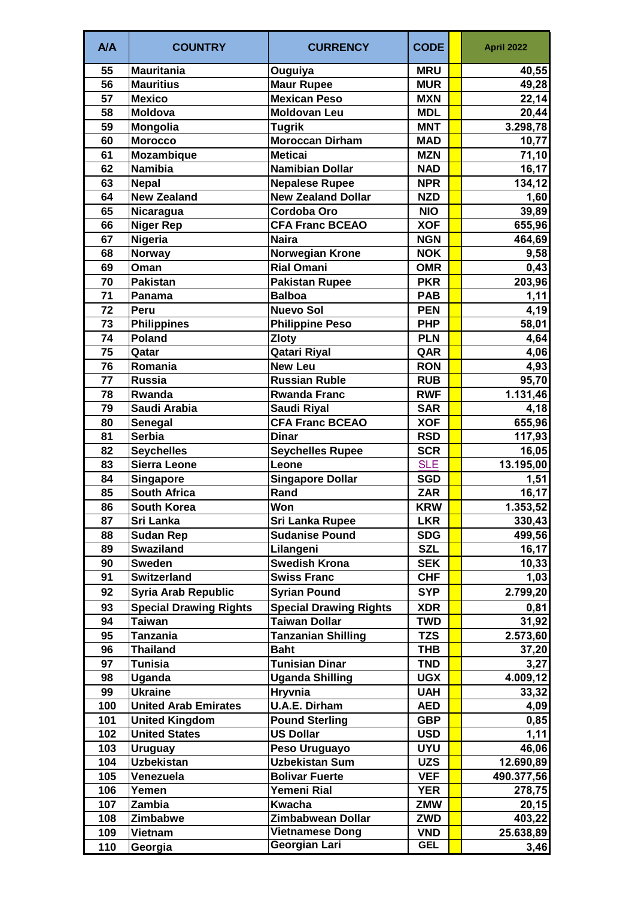| A/A | <b>COUNTRY</b>                | <b>CURRENCY</b>               | <b>CODE</b> | <b>April 2022</b> |
|-----|-------------------------------|-------------------------------|-------------|-------------------|
| 55  | <b>Mauritania</b>             | Ouguiya                       | <b>MRU</b>  | 40,55             |
| 56  | <b>Mauritius</b>              | <b>Maur Rupee</b>             | <b>MUR</b>  | 49,28             |
| 57  | <b>Mexico</b>                 | <b>Mexican Peso</b>           | <b>MXN</b>  | 22,14             |
| 58  | <b>Moldova</b>                | <b>Moldovan Leu</b>           | <b>MDL</b>  | 20,44             |
| 59  | Mongolia                      | <b>Tugrik</b>                 | <b>MNT</b>  | 3.298,78          |
| 60  | <b>Morocco</b>                | <b>Moroccan Dirham</b>        | <b>MAD</b>  | 10,77             |
| 61  | <b>Mozambique</b>             | <b>Meticai</b>                | <b>MZN</b>  | 71,10             |
| 62  | <b>Namibia</b>                | Namibian Dollar               | <b>NAD</b>  | 16,17             |
| 63  | <b>Nepal</b>                  | <b>Nepalese Rupee</b>         | <b>NPR</b>  | 134,12            |
| 64  | <b>New Zealand</b>            | <b>New Zealand Dollar</b>     | <b>NZD</b>  | 1,60              |
| 65  | Nicaragua                     | Cordoba Oro                   | <b>NIO</b>  | 39,89             |
| 66  | <b>Niger Rep</b>              | <b>CFA Franc BCEAO</b>        | <b>XOF</b>  | 655,96            |
| 67  | <b>Nigeria</b>                | <b>Naira</b>                  | <b>NGN</b>  | 464,69            |
| 68  | <b>Norway</b>                 | <b>Norwegian Krone</b>        | <b>NOK</b>  | 9,58              |
| 69  | Oman                          | <b>Rial Omani</b>             | <b>OMR</b>  | 0,43              |
| 70  | <b>Pakistan</b>               | <b>Pakistan Rupee</b>         | <b>PKR</b>  | 203,96            |
| 71  | Panama                        | <b>Balboa</b>                 | <b>PAB</b>  | 1,11              |
| 72  | Peru                          | <b>Nuevo Sol</b>              | <b>PEN</b>  | 4,19              |
| 73  | <b>Philippines</b>            | <b>Philippine Peso</b>        | <b>PHP</b>  | 58,01             |
| 74  | <b>Poland</b>                 | <b>Zloty</b>                  | <b>PLN</b>  | 4,64              |
| 75  | Qatar                         | <b>Qatari Riyal</b>           | QAR         | 4,06              |
| 76  | Romania                       | <b>New Leu</b>                | <b>RON</b>  | 4,93              |
| 77  | <b>Russia</b>                 | <b>Russian Ruble</b>          | <b>RUB</b>  | 95,70             |
| 78  | Rwanda                        | <b>Rwanda Franc</b>           | <b>RWF</b>  | 1.131,46          |
| 79  | Saudi Arabia                  | <b>Saudi Riyal</b>            | <b>SAR</b>  | 4,18              |
| 80  | Senegal                       | <b>CFA Franc BCEAO</b>        | <b>XOF</b>  | 655,96            |
| 81  | <b>Serbia</b>                 | <b>Dinar</b>                  | <b>RSD</b>  | 117,93            |
| 82  | <b>Seychelles</b>             | <b>Seychelles Rupee</b>       | <b>SCR</b>  | 16,05             |
| 83  | <b>Sierra Leone</b>           | Leone                         | <b>SLE</b>  | 13.195,00         |
| 84  | <b>Singapore</b>              | <b>Singapore Dollar</b>       | <b>SGD</b>  | 1,51              |
| 85  | <b>South Africa</b>           | Rand                          | <b>ZAR</b>  | 16, 17            |
| 86  | <b>South Korea</b>            | Won                           | <b>KRW</b>  | 1.353,52          |
| 87  | Sri Lanka                     | <b>Sri Lanka Rupee</b>        | <b>LKR</b>  | 330,43            |
| 88  | <b>Sudan Rep</b>              | <b>Sudanise Pound</b>         | <b>SDG</b>  | 499,56            |
| 89  | <b>Swaziland</b>              | Lilangeni                     | <b>SZL</b>  | 16,17             |
| 90  | <b>Sweden</b>                 | <b>Swedish Krona</b>          | <b>SEK</b>  | 10,33             |
| 91  | <b>Switzerland</b>            | <b>Swiss Franc</b>            | <b>CHF</b>  | 1,03              |
| 92  | <b>Syria Arab Republic</b>    | <b>Syrian Pound</b>           | <b>SYP</b>  | 2.799,20          |
| 93  | <b>Special Drawing Rights</b> | <b>Special Drawing Rights</b> | <b>XDR</b>  | 0,81              |
| 94  | Taiwan                        | Taiwan Dollar                 | <b>TWD</b>  | 31,92             |
| 95  | <b>Tanzania</b>               | <b>Tanzanian Shilling</b>     | <b>TZS</b>  | 2.573,60          |
| 96  | <b>Thailand</b>               | <b>Baht</b>                   | <b>THB</b>  | 37,20             |
| 97  | Tunisia                       | <b>Tunisian Dinar</b>         | <b>TND</b>  | 3,27              |
| 98  | Uganda                        | <b>Uganda Shilling</b>        | <b>UGX</b>  | 4.009, 12         |
| 99  | <b>Ukraine</b>                | Hryvnia                       | <b>UAH</b>  | 33,32             |
| 100 | <b>United Arab Emirates</b>   | <b>U.A.E. Dirham</b>          | <b>AED</b>  | 4,09              |
| 101 | <b>United Kingdom</b>         | <b>Pound Sterling</b>         | <b>GBP</b>  | 0,85              |
| 102 | <b>United States</b>          | <b>US Dollar</b>              | <b>USD</b>  | 1,11              |
| 103 | <b>Uruguay</b>                | Peso Uruguayo                 | <b>UYU</b>  | 46,06             |
| 104 | <b>Uzbekistan</b>             | <b>Uzbekistan Sum</b>         | <b>UZS</b>  | 12.690,89         |
| 105 | Venezuela                     | <b>Bolivar Fuerte</b>         | <b>VEF</b>  | 490.377,56        |
| 106 | Yemen                         | Yemeni Rial                   | <b>YER</b>  | 278,75            |
| 107 | Zambia                        | <b>Kwacha</b>                 | <b>ZMW</b>  | 20,15             |
| 108 | Zimbabwe                      | Zimbabwean Dollar             | <b>ZWD</b>  | 403,22            |
| 109 | Vietnam                       | <b>Vietnamese Dong</b>        | <b>VND</b>  | 25.638,89         |
| 110 | Georgia                       | Georgian Lari                 | <b>GEL</b>  | 3,46              |